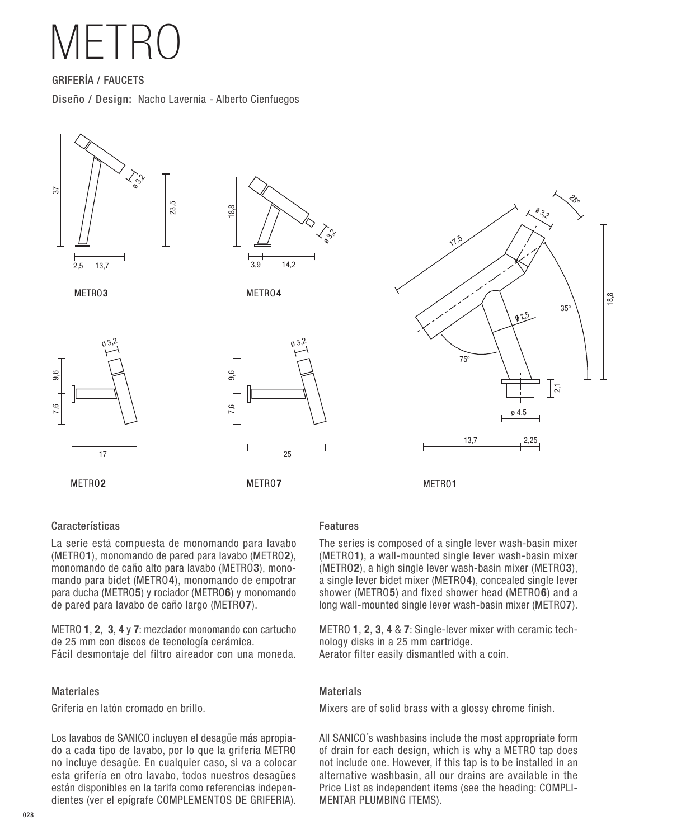# METRO

### GRIFERÍA / FAUCETS

Diseño / Design: Nacho Lavernia - Alberto Cienfuegos



#### Características

La serie está compuesta de monomando para lavabo (METRO**1**), monomando de pared para lavabo (METRO**2**), monomando de caño alto para lavabo (METRO**3**), monomando para bidet (METRO**4**), monomando de empotrar para ducha (METRO**5**) y rociador (METRO**6**) y monomando de pared para lavabo de caño largo (METRO**7**).

METRO **1**, **2**, **3**, **4** y **7**: mezclador monomando con cartucho de 25 mm con discos de tecnología cerámica. Fácil desmontaje del filtro aireador con una moneda.

#### Materiales

Grifería en latón cromado en brillo.

Los lavabos de SANICO incluyen el desagüe más apropiado a cada tipo de lavabo, por lo que la grifería METRO no incluye desagüe. En cualquier caso, si va a colocar esta grifería en otro lavabo, todos nuestros desagües están disponibles en la tarifa como referencias independientes (ver el epígrafe COMPLEMENTOS DE GRIFERIA).

#### Features

The series is composed of a single lever wash-basin mixer (METRO**1**), a wall-mounted single lever wash-basin mixer (METRO**2**), a high single lever wash-basin mixer (METRO**3**), a single lever bidet mixer (METRO**4**), concealed single lever shower (METRO**5**) and fixed shower head (METRO**6**) and a long wall-mounted single lever wash-basin mixer (METRO**7**).

METRO **1**, **2**, **3**, **4** & **7**: Single-lever mixer with ceramic technology disks in a 25 mm cartridge. Aerator filter easily dismantled with a coin.

#### **Materials**

Mixers are of solid brass with a glossy chrome finish.

All SANICO´s washbasins include the most appropriate form of drain for each design, which is why a METRO tap does not include one. However, if this tap is to be installed in an alternative washbasin, all our drains are available in the Price List as independent items (see the heading: COMPLI-MENTAR PLUMBING ITEMS).